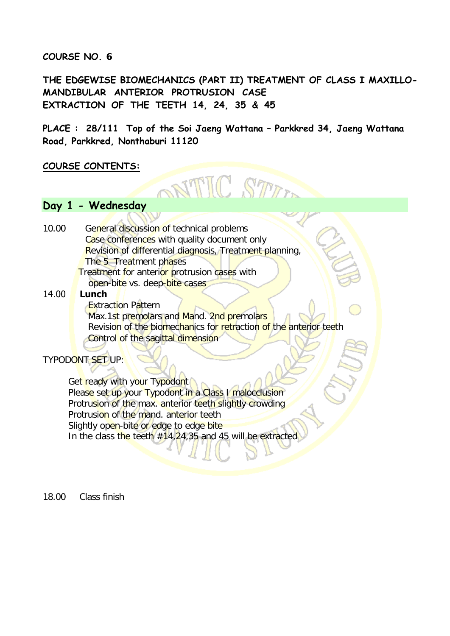**COURSE NO. 6** 

**THE EDGEWISE BIOMECHANICS (PART II) TREATMENT OF CLASS I MAXILLO-MANDIBULAR ANTERIOR PROTRUSION CASE EXTRACTION OF THE TEETH 14, 24, 35 & 45**

**PLACE : 28/111 Top of the Soi Jaeng Wattana – Parkkred 34, Jaeng Wattana Road, Parkkred, Nonthaburi 11120** 

NTIC STIT

#### **COURSE CONTENTS:**

### **Day 1 - Wednesday**

10.00 General discussion of technical problems Case conferences with quality document only Revision of differential diagnosis, Treatment planning, The 5 Treatment phases Treatment for anterior protrusion cases with

open-bite vs. deep-bite cases

14.00 **Lunch**

Extraction Pattern Max.1st premolars and Mand. 2nd premolars Revision of the biomechanics for retraction of the anterior teeth Control of the sagittal dimension

#### TYPODONT SET UP:

Get ready with your Typodont Please set up your Typodont in a Class I malocclusion Protrusion of the max. anterior teeth slightly crowding Protrusion of the mand. anterior teeth Slightly open-bite or edge to edge bite In the class the teeth  $#14,24,35$  and 45 will be extracted

18.00 Class finish